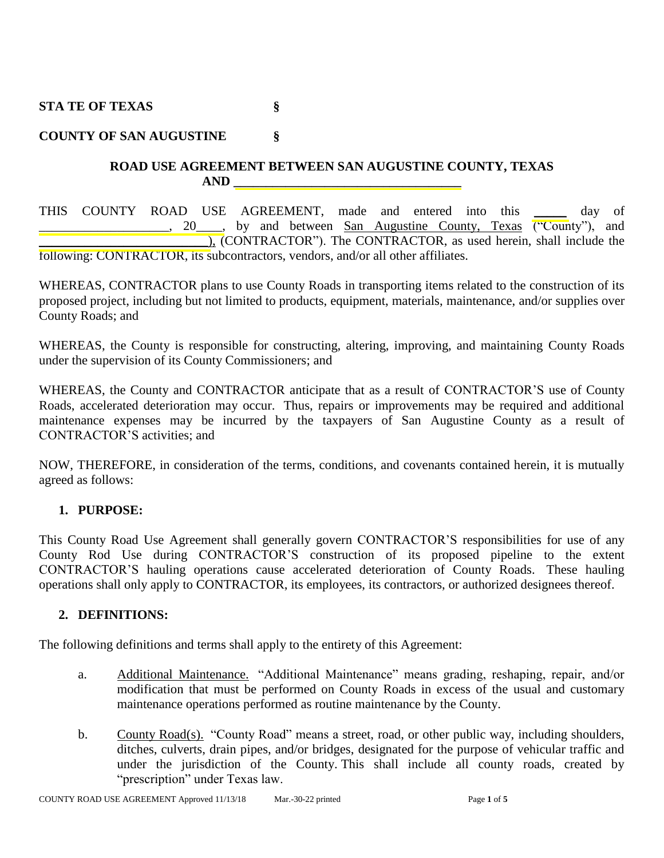**STA TE OF TEXAS §**

# **COUNTY OF SAN AUGUSTINE §**

### **ROAD USE AGREEMENT BETWEEN SAN AUGUSTINE COUNTY, TEXAS AND \_\_\_\_\_\_\_\_\_\_\_\_\_\_\_\_\_\_\_\_\_\_\_\_\_\_\_\_\_\_\_\_\_\_\_**

THIS COUNTY ROAD USE AGREEMENT, made and entered into this \_\_\_\_\_ day of 20 hetween San Augustine County, Texas ("County"), and \_\_\_\_\_\_\_\_\_\_\_\_\_\_\_\_\_\_\_\_\_\_\_\_\_\_), (CONTRACTOR"). The CONTRACTOR, as used herein, shall include the following: CONTRACTOR, its subcontractors, vendors, and/or all other affiliates.

WHEREAS, CONTRACTOR plans to use County Roads in transporting items related to the construction of its proposed project, including but not limited to products, equipment, materials, maintenance, and/or supplies over County Roads; and

WHEREAS, the County is responsible for constructing, altering, improving, and maintaining County Roads under the supervision of its County Commissioners; and

WHEREAS, the County and CONTRACTOR anticipate that as a result of CONTRACTOR'S use of County Roads, accelerated deterioration may occur. Thus, repairs or improvements may be required and additional maintenance expenses may be incurred by the taxpayers of San Augustine County as a result of CONTRACTOR'S activities; and

NOW, THEREFORE, in consideration of the terms, conditions, and covenants contained herein, it is mutually agreed as follows:

## **1. PURPOSE:**

This County Road Use Agreement shall generally govern CONTRACTOR'S responsibilities for use of any County Rod Use during CONTRACTOR'S construction of its proposed pipeline to the extent CONTRACTOR'S hauling operations cause accelerated deterioration of County Roads. These hauling operations shall only apply to CONTRACTOR, its employees, its contractors, or authorized designees thereof.

## **2. DEFINITIONS:**

The following definitions and terms shall apply to the entirety of this Agreement:

- a. Additional Maintenance. "Additional Maintenance" means grading, reshaping, repair, and/or modification that must be performed on County Roads in excess of the usual and customary maintenance operations performed as routine maintenance by the County.
- b. County Road(s). "County Road" means a street, road, or other public way, including shoulders, ditches, culverts, drain pipes, and/or bridges, designated for the purpose of vehicular traffic and under the jurisdiction of the County. This shall include all county roads, created by "prescription" under Texas law.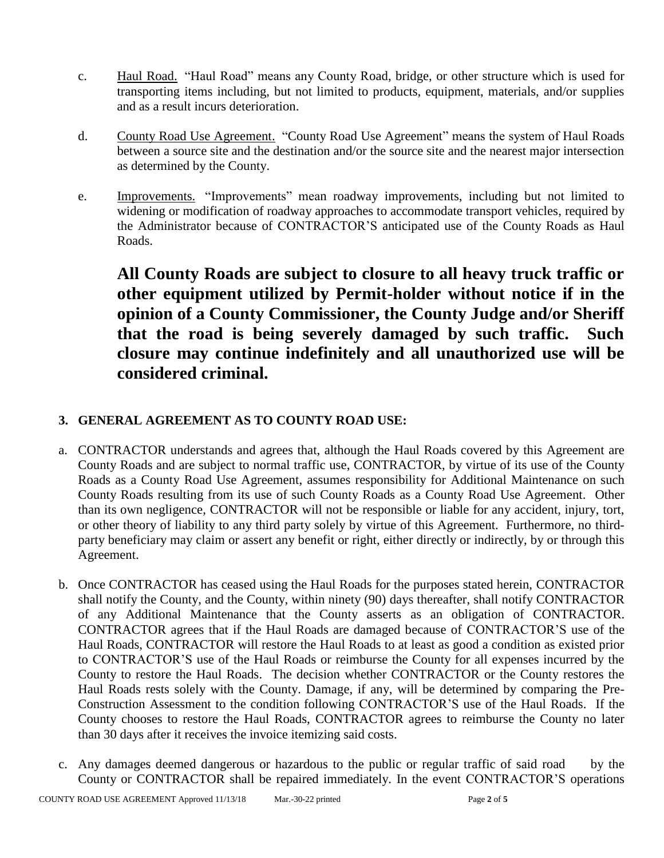- c. Haul Road. "Haul Road" means any County Road, bridge, or other structure which is used for transporting items including, but not limited to products, equipment, materials, and/or supplies and as a result incurs deterioration.
- d. County Road Use Agreement. "County Road Use Agreement" means the system of Haul Roads between a source site and the destination and/or the source site and the nearest major intersection as determined by the County.
- e. Improvements. "Improvements" mean roadway improvements, including but not limited to widening or modification of roadway approaches to accommodate transport vehicles, required by the Administrator because of CONTRACTOR'S anticipated use of the County Roads as Haul Roads.

**All County Roads are subject to closure to all heavy truck traffic or other equipment utilized by Permit-holder without notice if in the opinion of a County Commissioner, the County Judge and/or Sheriff that the road is being severely damaged by such traffic. Such closure may continue indefinitely and all unauthorized use will be considered criminal.**

# **3. GENERAL AGREEMENT AS TO COUNTY ROAD USE:**

- a. CONTRACTOR understands and agrees that, although the Haul Roads covered by this Agreement are County Roads and are subject to normal traffic use, CONTRACTOR, by virtue of its use of the County Roads as a County Road Use Agreement, assumes responsibility for Additional Maintenance on such County Roads resulting from its use of such County Roads as a County Road Use Agreement. Other than its own negligence, CONTRACTOR will not be responsible or liable for any accident, injury, tort, or other theory of liability to any third party solely by virtue of this Agreement. Furthermore, no thirdparty beneficiary may claim or assert any benefit or right, either directly or indirectly, by or through this Agreement.
- b. Once CONTRACTOR has ceased using the Haul Roads for the purposes stated herein, CONTRACTOR shall notify the County, and the County, within ninety (90) days thereafter, shall notify CONTRACTOR of any Additional Maintenance that the County asserts as an obligation of CONTRACTOR. CONTRACTOR agrees that if the Haul Roads are damaged because of CONTRACTOR'S use of the Haul Roads, CONTRACTOR will restore the Haul Roads to at least as good a condition as existed prior to CONTRACTOR'S use of the Haul Roads or reimburse the County for all expenses incurred by the County to restore the Haul Roads. The decision whether CONTRACTOR or the County restores the Haul Roads rests solely with the County. Damage, if any, will be determined by comparing the Pre-Construction Assessment to the condition following CONTRACTOR'S use of the Haul Roads. If the County chooses to restore the Haul Roads, CONTRACTOR agrees to reimburse the County no later than 30 days after it receives the invoice itemizing said costs.
- c. Any damages deemed dangerous or hazardous to the public or regular traffic of said road by the County or CONTRACTOR shall be repaired immediately. In the event CONTRACTOR'S operations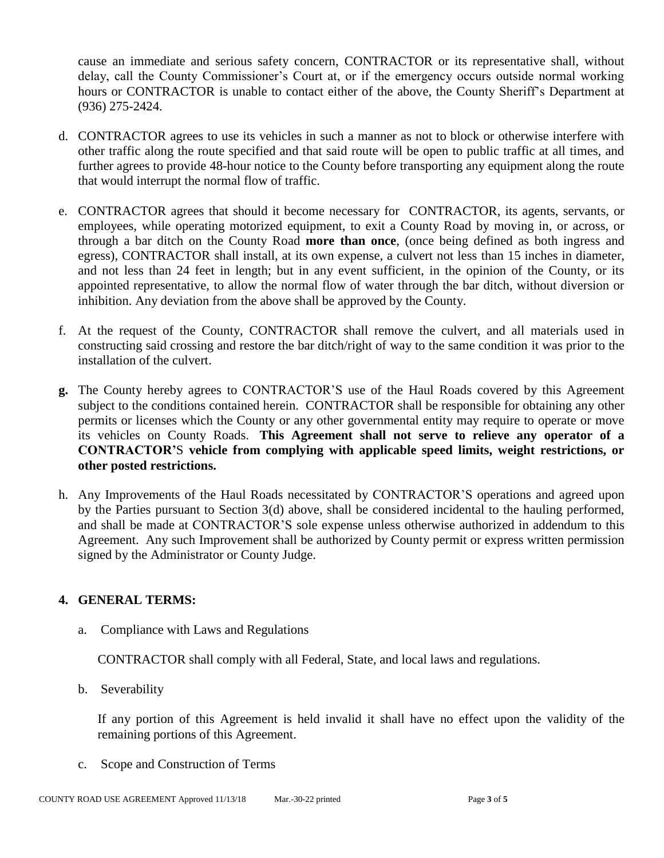cause an immediate and serious safety concern, CONTRACTOR or its representative shall, without delay, call the County Commissioner's Court at, or if the emergency occurs outside normal working hours or CONTRACTOR is unable to contact either of the above, the County Sheriff's Department at (936) 275-2424.

- d. CONTRACTOR agrees to use its vehicles in such a manner as not to block or otherwise interfere with other traffic along the route specified and that said route will be open to public traffic at all times, and further agrees to provide 48-hour notice to the County before transporting any equipment along the route that would interrupt the normal flow of traffic.
- e. CONTRACTOR agrees that should it become necessary for CONTRACTOR, its agents, servants, or employees, while operating motorized equipment, to exit a County Road by moving in, or across, or through a bar ditch on the County Road **more than once**, (once being defined as both ingress and egress), CONTRACTOR shall install, at its own expense, a culvert not less than 15 inches in diameter, and not less than 24 feet in length; but in any event sufficient, in the opinion of the County, or its appointed representative, to allow the normal flow of water through the bar ditch, without diversion or inhibition. Any deviation from the above shall be approved by the County.
- f. At the request of the County, CONTRACTOR shall remove the culvert, and all materials used in constructing said crossing and restore the bar ditch/right of way to the same condition it was prior to the installation of the culvert.
- **g.** The County hereby agrees to CONTRACTOR'S use of the Haul Roads covered by this Agreement subject to the conditions contained herein. CONTRACTOR shall be responsible for obtaining any other permits or licenses which the County or any other governmental entity may require to operate or move its vehicles on County Roads. **This Agreement shall not serve to relieve any operator of a CONTRACTOR'**S **vehicle from complying with applicable speed limits, weight restrictions, or other posted restrictions.**
- h. Any Improvements of the Haul Roads necessitated by CONTRACTOR'S operations and agreed upon by the Parties pursuant to Section 3(d) above, shall be considered incidental to the hauling performed, and shall be made at CONTRACTOR'S sole expense unless otherwise authorized in addendum to this Agreement. Any such Improvement shall be authorized by County permit or express written permission signed by the Administrator or County Judge.

## **4. GENERAL TERMS:**

a. Compliance with Laws and Regulations

CONTRACTOR shall comply with all Federal, State, and local laws and regulations.

b. Severability

If any portion of this Agreement is held invalid it shall have no effect upon the validity of the remaining portions of this Agreement.

c. Scope and Construction of Terms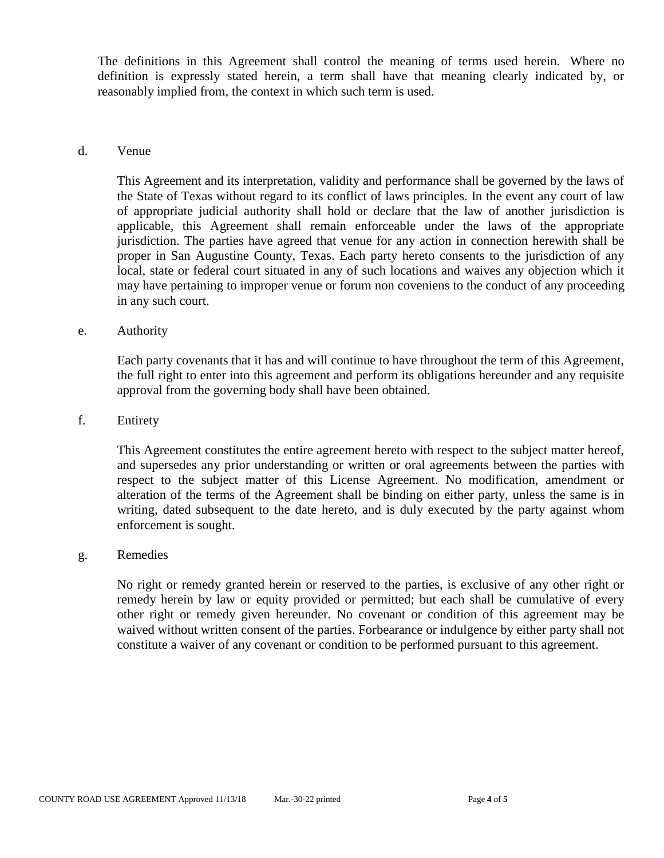The definitions in this Agreement shall control the meaning of terms used herein. Where no definition is expressly stated herein, a term shall have that meaning clearly indicated by, or reasonably implied from, the context in which such term is used.

#### d. Venue

This Agreement and its interpretation, validity and performance shall be governed by the laws of the State of Texas without regard to its conflict of laws principles. In the event any court of law of appropriate judicial authority shall hold or declare that the law of another jurisdiction is applicable, this Agreement shall remain enforceable under the laws of the appropriate jurisdiction. The parties have agreed that venue for any action in connection herewith shall be proper in San Augustine County, Texas. Each party hereto consents to the jurisdiction of any local, state or federal court situated in any of such locations and waives any objection which it may have pertaining to improper venue or forum non coveniens to the conduct of any proceeding in any such court.

#### e. Authority

Each party covenants that it has and will continue to have throughout the term of this Agreement, the full right to enter into this agreement and perform its obligations hereunder and any requisite approval from the governing body shall have been obtained.

#### f. Entirety

This Agreement constitutes the entire agreement hereto with respect to the subject matter hereof, and supersedes any prior understanding or written or oral agreements between the parties with respect to the subject matter of this License Agreement. No modification, amendment or alteration of the terms of the Agreement shall be binding on either party, unless the same is in writing, dated subsequent to the date hereto, and is duly executed by the party against whom enforcement is sought.

#### g. Remedies

No right or remedy granted herein or reserved to the parties, is exclusive of any other right or remedy herein by law or equity provided or permitted; but each shall be cumulative of every other right or remedy given hereunder. No covenant or condition of this agreement may be waived without written consent of the parties. Forbearance or indulgence by either party shall not constitute a waiver of any covenant or condition to be performed pursuant to this agreement.